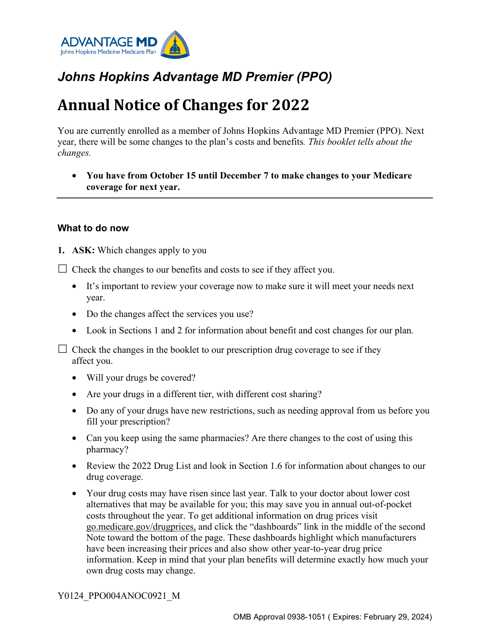

## *Johns Hopkins Advantage MD Premier (PPO)*

# **Annual Notice of Changes for 2022**

You are currently enrolled as a member of Johns Hopkins Advantage MD Premier (PPO). Next year, there will be some changes to the plan's costs and benefits*. This booklet tells about the changes.*

• **You have from October 15 until December 7 to make changes to your Medicare coverage for next year.**

#### **What to do now**

**1. ASK:** Which changes apply to you

 $\Box$  Check the changes to our benefits and costs to see if they affect you.

- It's important to review your coverage now to make sure it will meet your needs next year.
- Do the changes affect the services you use?
- Look in Sections 1 and 2 for information about benefit and cost changes for our plan.

 $\Box$  Check the changes in the booklet to our prescription drug coverage to see if they affect you.

- Will your drugs be covered?
- Are your drugs in a different tier, with different cost sharing?
- Do any of your drugs have new restrictions, such as needing approval from us before you fill your prescription?
- Can you keep using the same pharmacies? Are there changes to the cost of using this pharmacy?
- Review the 2022 Drug List and look in Section 1.6 for information about changes to our drug coverage.
- Your drug costs may have risen since last year. Talk to your doctor about lower cost alternatives that may be available for you; this may save you in annual out-of-pocket costs throughout the year. To get additional information on drug prices visit [go.medicare.gov/drugprices,](https://go.medicare.gov/drugprices) and click the "dashboards" link in the middle of the second Note toward the bottom of the page. These dashboards highlight which manufacturers have been increasing their prices and also show other year-to-year drug price information. Keep in mind that your plan benefits will determine exactly how much your own drug costs may change.

#### Y0124\_PPO004ANOC0921\_M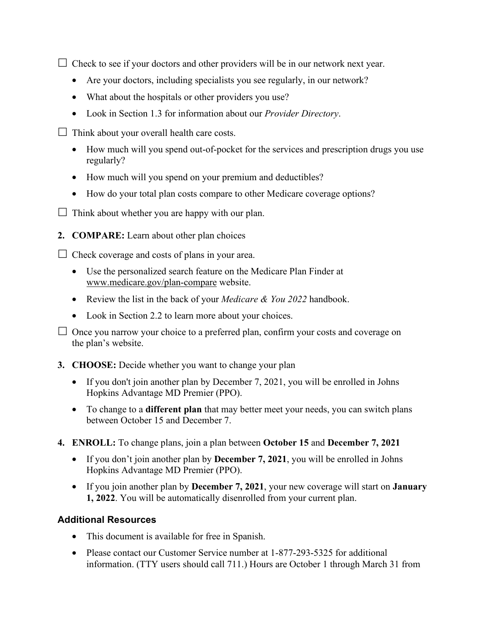$\Box$  Check to see if your doctors and other providers will be in our network next year.

- Are your doctors, including specialists you see regularly, in our network?
- What about the hospitals or other providers you use?
- Look in Section 1.3 for information about our *Provider Directory*.
- $\Box$  Think about your overall health care costs.
	- How much will you spend out-of-pocket for the services and prescription drugs you use regularly?
	- How much will you spend on your premium and deductibles?
	- How do your total plan costs compare to other Medicare coverage options?
- $\Box$  Think about whether you are happy with our plan.
- **2. COMPARE:** Learn about other plan choices

 $\Box$  Check coverage and costs of plans in your area.

- Use the personalized search feature on the Medicare Plan Finder at [www.medicare.gov/plan-compare](http://www.medicare.gov/plan-compare) website.
- Review the list in the back of your *Medicare & You 2022* handbook.
- Look in Section 2.2 to learn more about your choices.

 $\Box$  Once you narrow your choice to a preferred plan, confirm your costs and coverage on the plan's website.

- **3. CHOOSE:** Decide whether you want to change your plan
	- If you don't join another plan by December 7, 2021, you will be enrolled in Johns Hopkins Advantage MD Premier (PPO).
	- To change to a **different plan** that may better meet your needs, you can switch plans between October 15 and December 7.
- **4. ENROLL:** To change plans, join a plan between **October 15** and **December 7, 2021**
	- If you don't join another plan by **December 7, 2021**, you will be enrolled in Johns Hopkins Advantage MD Premier (PPO).
	- If you join another plan by **December 7, 2021**, your new coverage will start on **January 1, 2022**. You will be automatically disenrolled from your current plan.

#### **Additional Resources**

- This document is available for free in Spanish.
- Please contact our Customer Service number at 1-877-293-5325 for additional information. (TTY users should call 711.) Hours are October 1 through March 31 from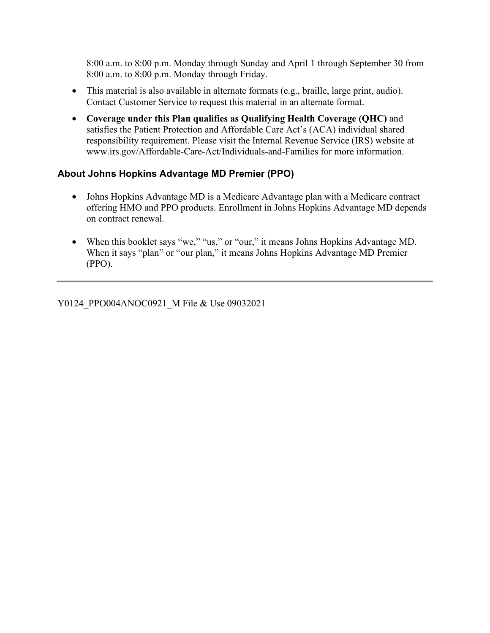8:00 a.m. to 8:00 p.m. Monday through Sunday and April 1 through September 30 from 8:00 a.m. to 8:00 p.m. Monday through Friday.

- This material is also available in alternate formats (e.g., braille, large print, audio). Contact Customer Service to request this material in an alternate format.
- **Coverage under this Plan qualifies as Qualifying Health Coverage (QHC)** and satisfies the Patient Protection and Affordable Care Act's (ACA) individual shared responsibility requirement. Please visit the Internal Revenue Service (IRS) website at [www.irs.gov/Affordable-Care-Act/Individuals-and-Families](http://www.irs.gov/Affordable-Care-Act/Individuals-and-Families) for more information.

#### **About Johns Hopkins Advantage MD Premier (PPO)**

- Johns Hopkins Advantage MD is a Medicare Advantage plan with a Medicare contract offering HMO and PPO products. Enrollment in Johns Hopkins Advantage MD depends on contract renewal.
- When this booklet says "we," "us," or "our," it means Johns Hopkins Advantage MD. When it says "plan" or "our plan," it means Johns Hopkins Advantage MD Premier (PPO).

Y0124\_PPO004ANOC0921\_M File & Use 09032021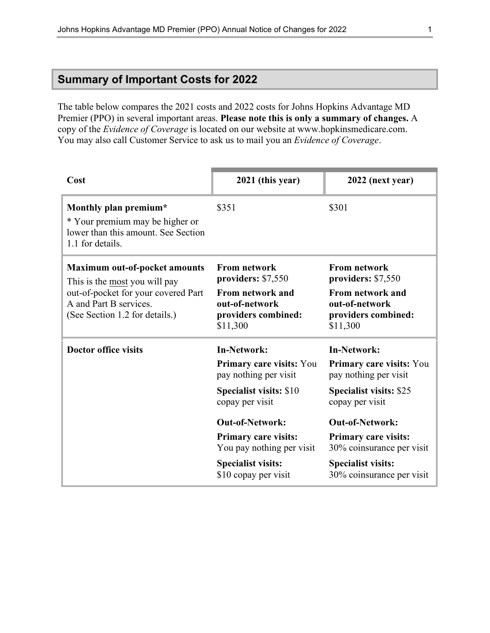### **Summary of Important Costs for 2022**

The table below compares the 2021 costs and 2022 costs for Johns Hopkins Advantage MD Premier (PPO) in several important areas. **Please note this is only a summary of changes.** A copy of the *Evidence of Coverage* is located on our website at [www.hopkinsmedicare.com](http://www.hopkinsmedicare.com). You may also call Customer Service to ask us to mail you an *Evidence of Coverage*.

| Cost                                                                                                                                                                     | 2021 (this year)                                                                                                                                                                                                                                                        | $2022$ (next year)                                                                                                                                                                                                                                                    |  |
|--------------------------------------------------------------------------------------------------------------------------------------------------------------------------|-------------------------------------------------------------------------------------------------------------------------------------------------------------------------------------------------------------------------------------------------------------------------|-----------------------------------------------------------------------------------------------------------------------------------------------------------------------------------------------------------------------------------------------------------------------|--|
| Monthly plan premium*<br>* Your premium may be higher or<br>lower than this amount. See Section<br>1.1 for details.                                                      | \$351                                                                                                                                                                                                                                                                   | \$301                                                                                                                                                                                                                                                                 |  |
| <b>Maximum out-of-pocket amounts</b><br>This is the most you will pay<br>out-of-pocket for your covered Part<br>A and Part B services.<br>(See Section 1.2 for details.) | <b>From network</b><br>providers: \$7,550<br>From network and<br>out-of-network<br>providers combined:<br>\$11,300                                                                                                                                                      | <b>From network</b><br>providers: \$7,550<br>From network and<br>out-of-network<br>providers combined:<br>\$11,300                                                                                                                                                    |  |
| <b>Doctor office visits</b>                                                                                                                                              | <b>In-Network:</b><br>Primary care visits: You<br>pay nothing per visit<br><b>Specialist visits: \$10</b><br>copay per visit<br><b>Out-of-Network:</b><br><b>Primary care visits:</b><br>You pay nothing per visit<br><b>Specialist visits:</b><br>\$10 copay per visit | <b>In-Network:</b><br>Primary care visits: You<br>pay nothing per visit<br><b>Specialist visits: \$25</b><br>copay per visit<br><b>Out-of-Network:</b><br>Primary care visits:<br>30% coinsurance per visit<br><b>Specialist visits:</b><br>30% coinsurance per visit |  |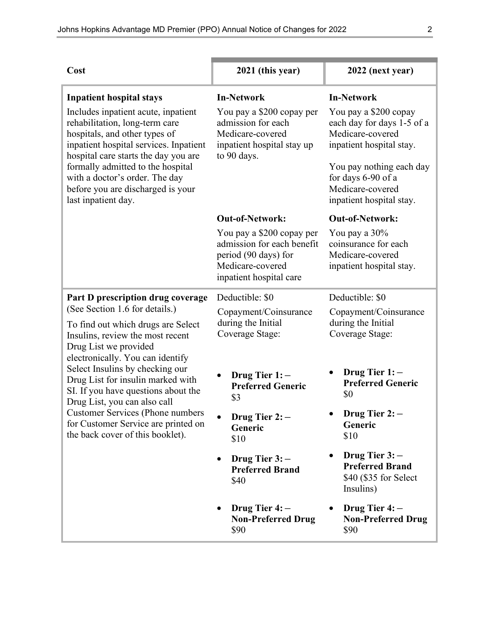| Cost                                                                                                                                                                                                                                                                                                                                                                                                                                                                            | 2021 (this year)                                                                                                                                                                                                                                                                                      | 2022 (next year)                                                                                                                                                                                                                                                                                                                              |  |
|---------------------------------------------------------------------------------------------------------------------------------------------------------------------------------------------------------------------------------------------------------------------------------------------------------------------------------------------------------------------------------------------------------------------------------------------------------------------------------|-------------------------------------------------------------------------------------------------------------------------------------------------------------------------------------------------------------------------------------------------------------------------------------------------------|-----------------------------------------------------------------------------------------------------------------------------------------------------------------------------------------------------------------------------------------------------------------------------------------------------------------------------------------------|--|
| <b>Inpatient hospital stays</b><br>Includes inpatient acute, inpatient<br>rehabilitation, long-term care<br>hospitals, and other types of<br>inpatient hospital services. Inpatient<br>hospital care starts the day you are<br>formally admitted to the hospital<br>with a doctor's order. The day<br>before you are discharged is your<br>last inpatient day.                                                                                                                  | <b>In-Network</b><br>You pay a \$200 copay per<br>admission for each<br>Medicare-covered<br>inpatient hospital stay up<br>to 90 days.<br><b>Out-of-Network:</b><br>You pay a \$200 copay per<br>admission for each benefit<br>period (90 days) for<br>Medicare-covered<br>inpatient hospital care     | <b>In-Network</b><br>You pay a \$200 copay<br>each day for days 1-5 of a<br>Medicare-covered<br>inpatient hospital stay.<br>You pay nothing each day<br>for days 6-90 of a<br>Medicare-covered<br>inpatient hospital stay.<br><b>Out-of-Network:</b><br>You pay a 30%<br>coinsurance for each<br>Medicare-covered<br>inpatient hospital stay. |  |
| Part D prescription drug coverage<br>(See Section 1.6 for details.)<br>To find out which drugs are Select<br>Insulins, review the most recent<br>Drug List we provided<br>electronically. You can identify<br>Select Insulins by checking our<br>Drug List for insulin marked with<br>SI. If you have questions about the<br>Drug List, you can also call<br><b>Customer Services (Phone numbers</b><br>for Customer Service are printed on<br>the back cover of this booklet). | Deductible: \$0<br>Copayment/Coinsurance<br>during the Initial<br>Coverage Stage:<br>Drug Tier $1:-$<br><b>Preferred Generic</b><br>\$3<br>Drug Tier 2:-<br>Generic<br>\$10<br>Drug Tier $3:-$<br>$\bullet$<br><b>Preferred Brand</b><br>\$40<br>Drug Tier $4:-$<br><b>Non-Preferred Drug</b><br>\$90 | Deductible: \$0<br>Copayment/Coinsurance<br>during the Initial<br>Coverage Stage:<br>Drug Tier $1:-$<br><b>Preferred Generic</b><br>\$0<br>Drug Tier 2:-<br>Generic<br>\$10<br>Drug Tier $3:-$<br><b>Preferred Brand</b><br>\$40 (\$35 for Select<br>Insulins)<br>Drug Tier $4:-$<br><b>Non-Preferred Drug</b><br>\$90                        |  |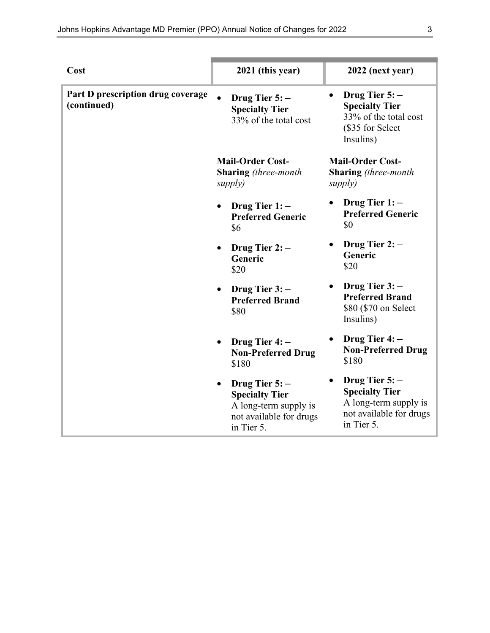| Cost                                             | 2021 (this year)                                                                                           | 2022 (next year)                                                                                           |
|--------------------------------------------------|------------------------------------------------------------------------------------------------------------|------------------------------------------------------------------------------------------------------------|
| Part D prescription drug coverage<br>(continued) | Drug Tier $5:-$<br><b>Specialty Tier</b><br>33% of the total cost                                          | Drug Tier $5:-$<br><b>Specialty Tier</b><br>33% of the total cost<br>(\$35 for Select<br>Insulins)         |
|                                                  | <b>Mail-Order Cost-</b><br><b>Sharing</b> (three-month<br>supply)                                          | <b>Mail-Order Cost-</b><br><b>Sharing</b> (three-month<br>supply)                                          |
|                                                  | Drug Tier $1:-$<br><b>Preferred Generic</b><br>\$6                                                         | Drug Tier $1:-$<br><b>Preferred Generic</b><br>\$0                                                         |
|                                                  | Drug Tier $2:-$<br>Generic<br>\$20                                                                         | Drug Tier $2:-$<br>Generic<br>\$20                                                                         |
|                                                  | Drug Tier $3:-$<br>$\bullet$<br><b>Preferred Brand</b><br>\$80                                             | Drug Tier $3:-$<br><b>Preferred Brand</b><br>\$80 (\$70 on Select<br>Insulins)                             |
|                                                  | Drug Tier $4:-$<br><b>Non-Preferred Drug</b><br>\$180                                                      | Drug Tier 4: -<br><b>Non-Preferred Drug</b><br>\$180                                                       |
|                                                  | Drug Tier $5:-$<br><b>Specialty Tier</b><br>A long-term supply is<br>not available for drugs<br>in Tier 5. | Drug Tier $5:-$<br><b>Specialty Tier</b><br>A long-term supply is<br>not available for drugs<br>in Tier 5. |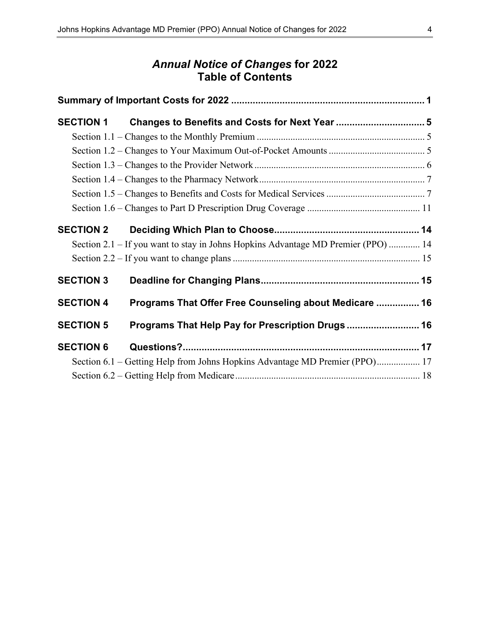### *Annual Notice of Changes* **for 2022 Table of Contents**

| <b>SECTION 1</b> |                                                                                   |  |
|------------------|-----------------------------------------------------------------------------------|--|
|                  |                                                                                   |  |
|                  |                                                                                   |  |
|                  |                                                                                   |  |
|                  |                                                                                   |  |
|                  |                                                                                   |  |
|                  |                                                                                   |  |
| <b>SECTION 2</b> |                                                                                   |  |
|                  | Section 2.1 - If you want to stay in Johns Hopkins Advantage MD Premier (PPO)  14 |  |
|                  |                                                                                   |  |
| <b>SECTION 3</b> |                                                                                   |  |
| <b>SECTION 4</b> | Programs That Offer Free Counseling about Medicare  16                            |  |
| <b>SECTION 5</b> | Programs That Help Pay for Prescription Drugs  16                                 |  |
| <b>SECTION 6</b> |                                                                                   |  |
|                  | Section 6.1 – Getting Help from Johns Hopkins Advantage MD Premier (PPO) 17       |  |
|                  |                                                                                   |  |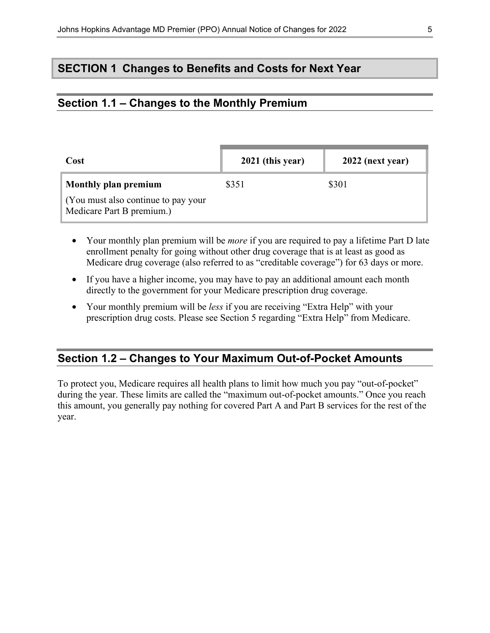### **SECTION 1 Changes to Benefits and Costs for Next Year**

### **Section 1.1 – Changes to the Monthly Premium**

| Cost                                                             | 2021 (this year) | $2022$ (next year) |
|------------------------------------------------------------------|------------------|--------------------|
| Monthly plan premium                                             | \$351            | \$301              |
| (You must also continue to pay your<br>Medicare Part B premium.) |                  |                    |

- Your monthly plan premium will be *more* if you are required to pay a lifetime Part D late enrollment penalty for going without other drug coverage that is at least as good as Medicare drug coverage (also referred to as "creditable coverage") for 63 days or more.
- If you have a higher income, you may have to pay an additional amount each month directly to the government for your Medicare prescription drug coverage.
- Your monthly premium will be *less* if you are receiving "Extra Help" with your prescription drug costs. Please see Section 5 regarding "Extra Help" from Medicare.

### **Section 1.2 – Changes to Your Maximum Out-of-Pocket Amounts**

To protect you, Medicare requires all health plans to limit how much you pay "out-of-pocket" during the year. These limits are called the "maximum out-of-pocket amounts." Once you reach this amount, you generally pay nothing for covered Part A and Part B services for the rest of the year.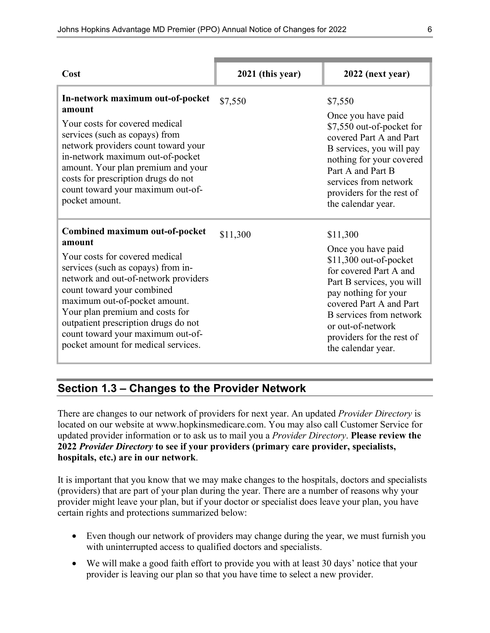| Cost                                                                                                                                                                                                                                                                                                                                                                           | 2021 (this year) | 2022 (next year)                                                                                                                                                                                                                                                              |
|--------------------------------------------------------------------------------------------------------------------------------------------------------------------------------------------------------------------------------------------------------------------------------------------------------------------------------------------------------------------------------|------------------|-------------------------------------------------------------------------------------------------------------------------------------------------------------------------------------------------------------------------------------------------------------------------------|
| In-network maximum out-of-pocket<br>amount<br>Your costs for covered medical<br>services (such as copays) from<br>network providers count toward your<br>in-network maximum out-of-pocket<br>amount. Your plan premium and your<br>costs for prescription drugs do not<br>count toward your maximum out-of-<br>pocket amount.                                                  | \$7,550          | \$7,550<br>Once you have paid<br>\$7,550 out-of-pocket for<br>covered Part A and Part<br>B services, you will pay<br>nothing for your covered<br>Part A and Part B<br>services from network<br>providers for the rest of<br>the calendar year.                                |
| Combined maximum out-of-pocket<br>amount<br>Your costs for covered medical<br>services (such as copays) from in-<br>network and out-of-network providers<br>count toward your combined<br>maximum out-of-pocket amount.<br>Your plan premium and costs for<br>outpatient prescription drugs do not<br>count toward your maximum out-of-<br>pocket amount for medical services. | \$11,300         | \$11,300<br>Once you have paid<br>$$11,300$ out-of-pocket<br>for covered Part A and<br>Part B services, you will<br>pay nothing for your<br>covered Part A and Part<br><b>B</b> services from network<br>or out-of-network<br>providers for the rest of<br>the calendar year. |

### **Section 1.3 – Changes to the Provider Network**

There are changes to our network of providers for next year. An updated *Provider Directory* is located on our website at [www.hopkinsmedicare.com.](http://www.hopkinsmedicare.com) You may also call Customer Service for updated provider information or to ask us to mail you a *Provider Directory*. **Please review the 2022** *Provider Directory* **to see if your providers (primary care provider, specialists, hospitals, etc.) are in our network**.

It is important that you know that we may make changes to the hospitals, doctors and specialists (providers) that are part of your plan during the year. There are a number of reasons why your provider might leave your plan, but if your doctor or specialist does leave your plan, you have certain rights and protections summarized below:

- Even though our network of providers may change during the year, we must furnish you with uninterrupted access to qualified doctors and specialists.
- We will make a good faith effort to provide you with at least 30 days' notice that your provider is leaving our plan so that you have time to select a new provider.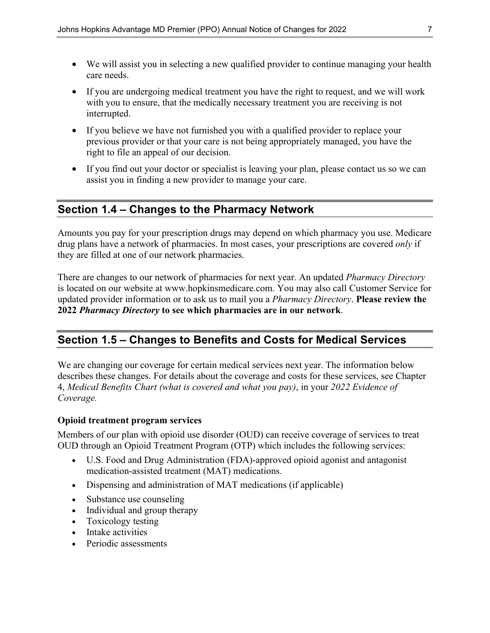- We will assist you in selecting a new qualified provider to continue managing your health care needs.
- If you are undergoing medical treatment you have the right to request, and we will work with you to ensure, that the medically necessary treatment you are receiving is not interrupted.
- If you believe we have not furnished you with a qualified provider to replace your previous provider or that your care is not being appropriately managed, you have the right to file an appeal of our decision.
- If you find out your doctor or specialist is leaving your plan, please contact us so we can assist you in finding a new provider to manage your care.

### **Section 1.4 – Changes to the Pharmacy Network**

Amounts you pay for your prescription drugs may depend on which pharmacy you use. Medicare drug plans have a network of pharmacies. In most cases, your prescriptions are covered *only* if they are filled at one of our network pharmacies.

There are changes to our network of pharmacies for next year. An updated *Pharmacy Directory* is located on our website at [www.hopkinsmedicare.com.](http://www.hopkinsmedicare.com) You may also call Customer Service for updated provider information or to ask us to mail you a *Pharmacy Directory*. **Please review the 2022** *Pharmacy Directory* **to see which pharmacies are in our network**.

### **Section 1.5 – Changes to Benefits and Costs for Medical Services**

We are changing our coverage for certain medical services next year. The information below describes these changes. For details about the coverage and costs for these services, see Chapter 4, *Medical Benefits Chart (what is covered and what you pay)*, in your *2022 Evidence of Coverage.*

#### **Opioid treatment program services**

Members of our plan with opioid use disorder (OUD) can receive coverage of services to treat OUD through an Opioid Treatment Program (OTP) which includes the following services:

- U.S. Food and Drug Administration (FDA)-approved opioid agonist and antagonist medication-assisted treatment (MAT) medications.
- Dispensing and administration of MAT medications (if applicable)
- Substance use counseling
- Individual and group therapy
- Toxicology testing
- Intake activities
- Periodic assessments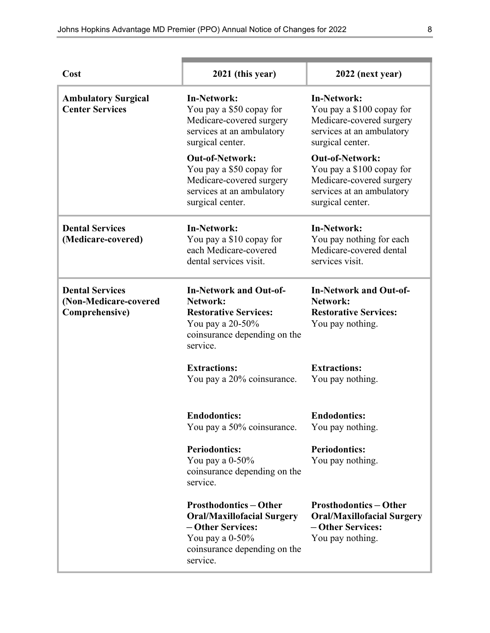| Cost                                                              | 2021 (this year)                                                                                                                                        | 2022 (next year)                                                                                                                 |  |
|-------------------------------------------------------------------|---------------------------------------------------------------------------------------------------------------------------------------------------------|----------------------------------------------------------------------------------------------------------------------------------|--|
| <b>Ambulatory Surgical</b><br><b>Center Services</b>              | In-Network:<br>You pay a \$50 copay for<br>Medicare-covered surgery<br>services at an ambulatory<br>surgical center.                                    | <b>In-Network:</b><br>You pay a \$100 copay for<br>Medicare-covered surgery<br>services at an ambulatory<br>surgical center.     |  |
|                                                                   | <b>Out-of-Network:</b><br>You pay a \$50 copay for<br>Medicare-covered surgery<br>services at an ambulatory<br>surgical center.                         | <b>Out-of-Network:</b><br>You pay a \$100 copay for<br>Medicare-covered surgery<br>services at an ambulatory<br>surgical center. |  |
| <b>Dental Services</b><br>(Medicare-covered)                      | <b>In-Network:</b><br>You pay a \$10 copay for<br>each Medicare-covered<br>dental services visit.                                                       | <b>In-Network:</b><br>You pay nothing for each<br>Medicare-covered dental<br>services visit.                                     |  |
| <b>Dental Services</b><br>(Non-Medicare-covered<br>Comprehensive) | <b>In-Network and Out-of-</b><br>Network:<br><b>Restorative Services:</b><br>You pay a 20-50%<br>coinsurance depending on the<br>service.               | <b>In-Network and Out-of-</b><br>Network:<br><b>Restorative Services:</b><br>You pay nothing.                                    |  |
|                                                                   | <b>Extractions:</b><br>You pay a 20% coinsurance.                                                                                                       | <b>Extractions:</b><br>You pay nothing.                                                                                          |  |
|                                                                   | <b>Endodontics:</b><br>You pay a 50% coinsurance.                                                                                                       | <b>Endodontics:</b><br>You pay nothing.                                                                                          |  |
|                                                                   | <b>Periodontics:</b><br>You pay a $0-50\%$<br>coinsurance depending on the<br>service.                                                                  | <b>Periodontics:</b><br>You pay nothing.                                                                                         |  |
|                                                                   | <b>Prosthodontics-Other</b><br><b>Oral/Maxillofacial Surgery</b><br>- Other Services:<br>You pay a $0-50\%$<br>coinsurance depending on the<br>service. | <b>Prosthodontics-Other</b><br><b>Oral/Maxillofacial Surgery</b><br>- Other Services:<br>You pay nothing.                        |  |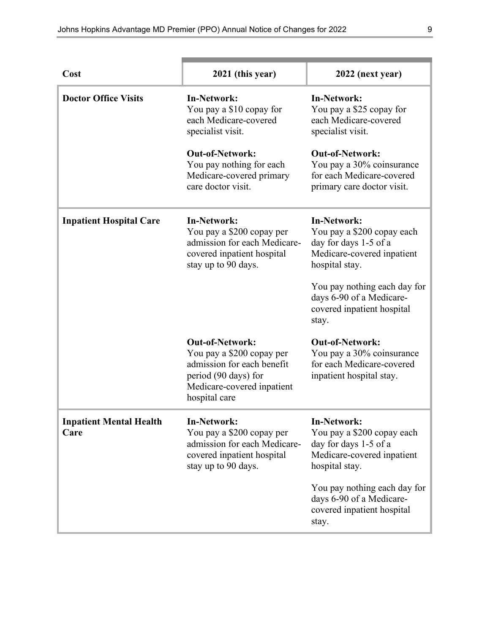| Cost                                   | 2021 (this year)                                                                                                                                         | 2022 (next year)                                                                                                          |  |
|----------------------------------------|----------------------------------------------------------------------------------------------------------------------------------------------------------|---------------------------------------------------------------------------------------------------------------------------|--|
| <b>Doctor Office Visits</b>            | <b>In-Network:</b><br>You pay a \$10 copay for<br>each Medicare-covered<br>specialist visit.                                                             | <b>In-Network:</b><br>You pay a \$25 copay for<br>each Medicare-covered<br>specialist visit.                              |  |
|                                        | <b>Out-of-Network:</b><br>You pay nothing for each<br>Medicare-covered primary<br>care doctor visit.                                                     | <b>Out-of-Network:</b><br>You pay a 30% coinsurance<br>for each Medicare-covered<br>primary care doctor visit.            |  |
| <b>Inpatient Hospital Care</b>         | <b>In-Network:</b><br>You pay a \$200 copay per<br>admission for each Medicare-<br>covered inpatient hospital<br>stay up to 90 days.                     | <b>In-Network:</b><br>You pay a \$200 copay each<br>day for days 1-5 of a<br>Medicare-covered inpatient<br>hospital stay. |  |
|                                        |                                                                                                                                                          | You pay nothing each day for<br>days 6-90 of a Medicare-<br>covered inpatient hospital<br>stay.                           |  |
|                                        | <b>Out-of-Network:</b><br>You pay a \$200 copay per<br>admission for each benefit<br>period (90 days) for<br>Medicare-covered inpatient<br>hospital care | <b>Out-of-Network:</b><br>You pay a 30% coinsurance<br>for each Medicare-covered<br>inpatient hospital stay.              |  |
| <b>Inpatient Mental Health</b><br>Care | <b>In-Network:</b><br>You pay a \$200 copay per<br>admission for each Medicare-<br>covered inpatient hospital<br>stay up to 90 days.                     | <b>In-Network:</b><br>You pay a \$200 copay each<br>day for days 1-5 of a<br>Medicare-covered inpatient<br>hospital stay. |  |
|                                        |                                                                                                                                                          | You pay nothing each day for<br>days 6-90 of a Medicare-<br>covered inpatient hospital<br>stay.                           |  |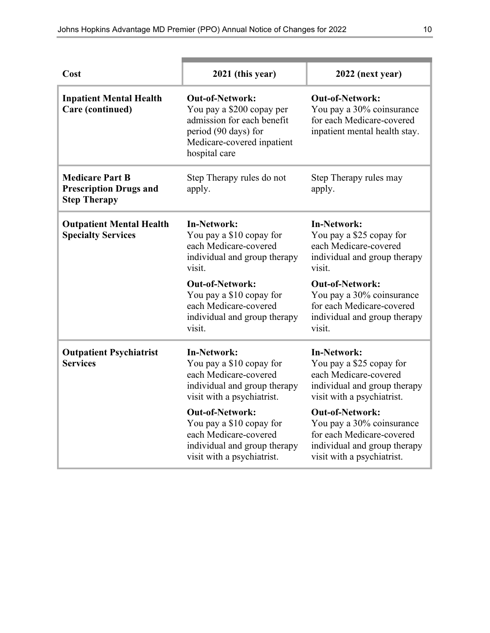| Cost                                                                           | 2021 (this year)                                                                                                                                         | 2022 (next year)                                                                                                                               |  |
|--------------------------------------------------------------------------------|----------------------------------------------------------------------------------------------------------------------------------------------------------|------------------------------------------------------------------------------------------------------------------------------------------------|--|
| <b>Inpatient Mental Health</b><br>Care (continued)                             | <b>Out-of-Network:</b><br>You pay a \$200 copay per<br>admission for each benefit<br>period (90 days) for<br>Medicare-covered inpatient<br>hospital care | <b>Out-of-Network:</b><br>You pay a 30% coinsurance<br>for each Medicare-covered<br>inpatient mental health stay.                              |  |
| <b>Medicare Part B</b><br><b>Prescription Drugs and</b><br><b>Step Therapy</b> | Step Therapy rules do not<br>apply.                                                                                                                      | Step Therapy rules may<br>apply.                                                                                                               |  |
| <b>Outpatient Mental Health</b><br><b>Specialty Services</b>                   | <b>In-Network:</b><br>You pay a \$10 copay for<br>each Medicare-covered<br>individual and group therapy<br>visit.                                        | <b>In-Network:</b><br>You pay a \$25 copay for<br>each Medicare-covered<br>individual and group therapy<br>visit.                              |  |
|                                                                                | <b>Out-of-Network:</b><br>You pay a \$10 copay for<br>each Medicare-covered<br>individual and group therapy<br>visit.                                    | <b>Out-of-Network:</b><br>You pay a 30% coinsurance<br>for each Medicare-covered<br>individual and group therapy<br>visit.                     |  |
| <b>Outpatient Psychiatrist</b><br><b>Services</b>                              | <b>In-Network:</b><br>You pay a \$10 copay for<br>each Medicare-covered<br>individual and group therapy<br>visit with a psychiatrist.                    | <b>In-Network:</b><br>You pay a \$25 copay for<br>each Medicare-covered<br>individual and group therapy<br>visit with a psychiatrist.          |  |
|                                                                                | <b>Out-of-Network:</b><br>You pay a \$10 copay for<br>each Medicare-covered<br>individual and group therapy<br>visit with a psychiatrist.                | <b>Out-of-Network:</b><br>You pay a 30% coinsurance<br>for each Medicare-covered<br>individual and group therapy<br>visit with a psychiatrist. |  |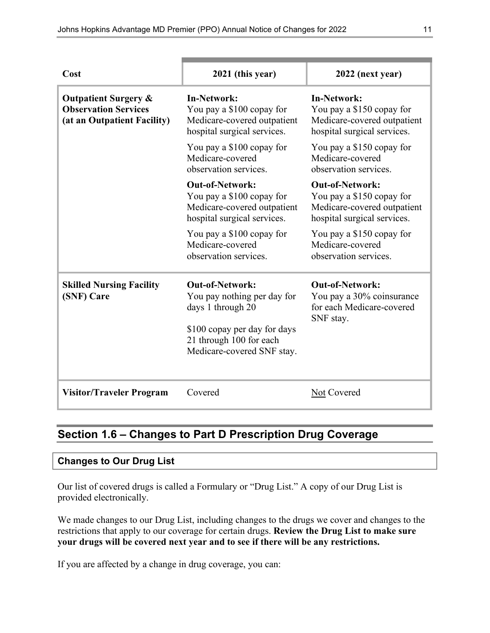| Cost                                                                                          | 2021 (this year)                                                                                                  | 2022 (next year)                                                                                                  |  |
|-----------------------------------------------------------------------------------------------|-------------------------------------------------------------------------------------------------------------------|-------------------------------------------------------------------------------------------------------------------|--|
| <b>Outpatient Surgery &amp;</b><br><b>Observation Services</b><br>(at an Outpatient Facility) | <b>In-Network:</b><br>You pay a \$100 copay for<br>Medicare-covered outpatient<br>hospital surgical services.     | <b>In-Network:</b><br>You pay a \$150 copay for<br>Medicare-covered outpatient<br>hospital surgical services.     |  |
|                                                                                               | You pay a \$100 copay for<br>Medicare-covered<br>observation services.                                            | You pay a \$150 copay for<br>Medicare-covered<br>observation services.                                            |  |
|                                                                                               | <b>Out-of-Network:</b><br>You pay a \$100 copay for<br>Medicare-covered outpatient<br>hospital surgical services. | <b>Out-of-Network:</b><br>You pay a \$150 copay for<br>Medicare-covered outpatient<br>hospital surgical services. |  |
|                                                                                               | You pay a \$100 copay for<br>Medicare-covered<br>observation services.                                            | You pay a \$150 copay for<br>Medicare-covered<br>observation services.                                            |  |
| <b>Skilled Nursing Facility</b><br>(SNF) Care                                                 | <b>Out-of-Network:</b><br>You pay nothing per day for<br>days 1 through 20                                        | <b>Out-of-Network:</b><br>You pay a 30% coinsurance<br>for each Medicare-covered<br>SNF stay.                     |  |
|                                                                                               | \$100 copay per day for days<br>21 through 100 for each<br>Medicare-covered SNF stay.                             |                                                                                                                   |  |
| <b>Visitor/Traveler Program</b>                                                               | Covered                                                                                                           | Not Covered                                                                                                       |  |

### **Section 1.6 – Changes to Part D Prescription Drug Coverage**

#### **Changes to Our Drug List**

Our list of covered drugs is called a Formulary or "Drug List." A copy of our Drug List is provided electronically.

We made changes to our Drug List, including changes to the drugs we cover and changes to the restrictions that apply to our coverage for certain drugs. **Review the Drug List to make sure your drugs will be covered next year and to see if there will be any restrictions.**

If you are affected by a change in drug coverage, you can: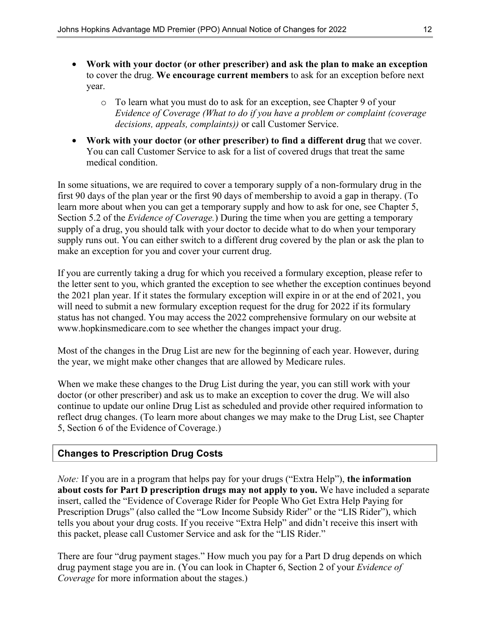- **Work with your doctor (or other prescriber) and ask the plan to make an exception** to cover the drug. **We encourage current members** to ask for an exception before next year.
	- o To learn what you must do to ask for an exception, see Chapter 9 of your *Evidence of Coverage (What to do if you have a problem or complaint (coverage decisions, appeals, complaints))* or call Customer Service.
- **Work with your doctor (or other prescriber) to find a different drug** that we cover. You can call Customer Service to ask for a list of covered drugs that treat the same medical condition.

In some situations, we are required to cover a temporary supply of a non-formulary drug in the first 90 days of the plan year or the first 90 days of membership to avoid a gap in therapy. (To learn more about when you can get a temporary supply and how to ask for one, see Chapter 5, Section 5.2 of the *Evidence of Coverage.*) During the time when you are getting a temporary supply of a drug, you should talk with your doctor to decide what to do when your temporary supply runs out. You can either switch to a different drug covered by the plan or ask the plan to make an exception for you and cover your current drug.

If you are currently taking a drug for which you received a formulary exception, please refer to the letter sent to you, which granted the exception to see whether the exception continues beyond the 2021 plan year. If it states the formulary exception will expire in or at the end of 2021, you will need to submit a new formulary exception request for the drug for 2022 if its formulary status has not changed. You may access the 2022 comprehensive formulary on our website at [www.hopkinsmedicare.com](http://www.hopkinsmedicare.com) to see whether the changes impact your drug.

Most of the changes in the Drug List are new for the beginning of each year. However, during the year, we might make other changes that are allowed by Medicare rules.

When we make these changes to the Drug List during the year, you can still work with your doctor (or other prescriber) and ask us to make an exception to cover the drug. We will also continue to update our online Drug List as scheduled and provide other required information to reflect drug changes. (To learn more about changes we may make to the Drug List, see Chapter 5, Section 6 of the Evidence of Coverage.)

#### **Changes to Prescription Drug Costs**

*Note:* If you are in a program that helps pay for your drugs ("Extra Help"), **the information about costs for Part D prescription drugs may not apply to you.** We have included a separate insert, called the "Evidence of Coverage Rider for People Who Get Extra Help Paying for Prescription Drugs" (also called the "Low Income Subsidy Rider" or the "LIS Rider"), which tells you about your drug costs. If you receive "Extra Help" and didn't receive this insert with this packet, please call Customer Service and ask for the "LIS Rider."

There are four "drug payment stages." How much you pay for a Part D drug depends on which drug payment stage you are in. (You can look in Chapter 6, Section 2 of your *Evidence of Coverage* for more information about the stages.)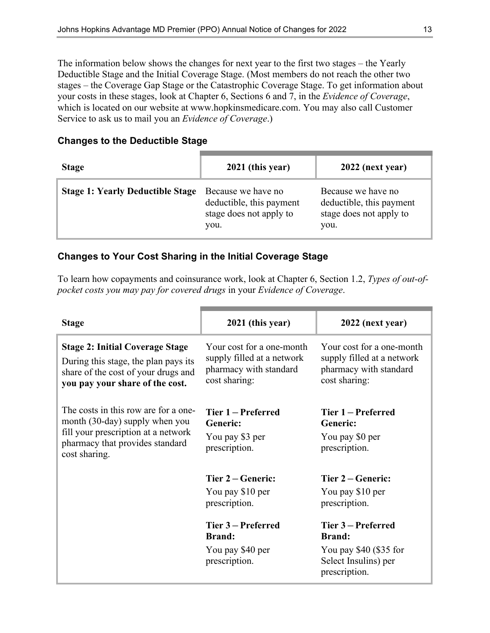The information below shows the changes for next year to the first two stages – the Yearly Deductible Stage and the Initial Coverage Stage. (Most members do not reach the other two stages – the Coverage Gap Stage or the Catastrophic Coverage Stage. To get information about your costs in these stages, look at Chapter 6, Sections 6 and 7, in the *Evidence of Coverage*, which is located on our website at [www.hopkinsmedicare.com.](http://www.hopkinsmedicare.com) You may also call Customer Service to ask us to mail you an *Evidence of Coverage*.)

| <b>Changes to the Deductible Stage</b> |  |  |  |  |  |
|----------------------------------------|--|--|--|--|--|
|----------------------------------------|--|--|--|--|--|

| <b>Stage</b>                            | 2021 (this year)                                                                  | 2022 (next year)                                                                  |
|-----------------------------------------|-----------------------------------------------------------------------------------|-----------------------------------------------------------------------------------|
| <b>Stage 1: Yearly Deductible Stage</b> | Because we have no<br>deductible, this payment<br>stage does not apply to<br>you. | Because we have no<br>deductible, this payment<br>stage does not apply to<br>you. |

#### **Changes to Your Cost Sharing in the Initial Coverage Stage**

To learn how copayments and coinsurance work, look at Chapter 6, Section 1.2, *Types of out-ofpocket costs you may pay for covered drugs* in your *Evidence of Coverage*.

| <b>Stage</b>                                                                                                                                                      | 2021 (this year)                                                                                                                   | 2022 (next year)                                                                                                                                                  |
|-------------------------------------------------------------------------------------------------------------------------------------------------------------------|------------------------------------------------------------------------------------------------------------------------------------|-------------------------------------------------------------------------------------------------------------------------------------------------------------------|
| <b>Stage 2: Initial Coverage Stage</b><br>During this stage, the plan pays its<br>share of the cost of your drugs and<br>you pay your share of the cost.          | Your cost for a one-month<br>supply filled at a network<br>pharmacy with standard<br>cost sharing:                                 | Your cost for a one-month<br>supply filled at a network<br>pharmacy with standard<br>cost sharing:                                                                |
| The costs in this row are for a one-<br>month (30-day) supply when you<br>fill your prescription at a network<br>pharmacy that provides standard<br>cost sharing. | Tier 1 – Preferred<br>Generic:<br>You pay \$3 per<br>prescription.                                                                 | Tier 1 – Preferred<br>Generic:<br>You pay \$0 per<br>prescription.                                                                                                |
|                                                                                                                                                                   | Tier 2 – Generic:<br>You pay \$10 per<br>prescription.<br>Tier 3 – Preferred<br><b>Brand:</b><br>You pay \$40 per<br>prescription. | Tier 2 – Generic:<br>You pay \$10 per<br>prescription.<br>Tier 3 – Preferred<br><b>Brand:</b><br>You pay $$40$ (\$35 for<br>Select Insulins) per<br>prescription. |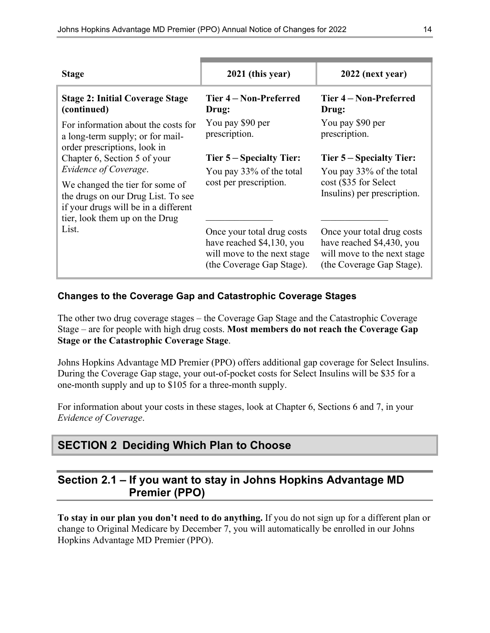| <b>Stage</b>                                                                                                                                                                      | 2021 (this year)                                                                                                    | 2022 (next year)                                                                                                    |
|-----------------------------------------------------------------------------------------------------------------------------------------------------------------------------------|---------------------------------------------------------------------------------------------------------------------|---------------------------------------------------------------------------------------------------------------------|
| <b>Stage 2: Initial Coverage Stage</b><br>(continued)                                                                                                                             | Tier 4 – Non-Preferred<br>Drug:                                                                                     | Tier 4 – Non-Preferred<br>Drug:                                                                                     |
| For information about the costs for<br>a long-term supply; or for mail-<br>order prescriptions, look in                                                                           | You pay \$90 per<br>prescription.                                                                                   | You pay \$90 per<br>prescription.                                                                                   |
| Chapter 6, Section 5 of your                                                                                                                                                      | <b>Tier 5 – Specialty Tier:</b>                                                                                     | <b>Tier 5 – Specialty Tier:</b>                                                                                     |
| Evidence of Coverage.<br>We changed the tier for some of<br>the drugs on our Drug List. To see<br>if your drugs will be in a different<br>tier, look them up on the Drug<br>List. | You pay 33% of the total<br>cost per prescription.                                                                  | You pay 33% of the total<br>cost (\$35 for Select<br>Insulins) per prescription.                                    |
|                                                                                                                                                                                   | Once your total drug costs<br>have reached \$4,130, you<br>will move to the next stage<br>(the Coverage Gap Stage). | Once your total drug costs<br>have reached \$4,430, you<br>will move to the next stage<br>(the Coverage Gap Stage). |

#### **Changes to the Coverage Gap and Catastrophic Coverage Stages**

The other two drug coverage stages – the Coverage Gap Stage and the Catastrophic Coverage Stage – are for people with high drug costs. **Most members do not reach the Coverage Gap Stage or the Catastrophic Coverage Stage**.

Johns Hopkins Advantage MD Premier (PPO) offers additional gap coverage for Select Insulins. During the Coverage Gap stage, your out-of-pocket costs for Select Insulins will be \$35 for a one-month supply and up to \$105 for a three-month supply.

For information about your costs in these stages, look at Chapter 6, Sections 6 and 7, in your *Evidence of Coverage*.

### **SECTION 2 Deciding Which Plan to Choose**

### **Section 2.1 – If you want to stay in Johns Hopkins Advantage MD Premier (PPO)**

**To stay in our plan you don't need to do anything.** If you do not sign up for a different plan or change to Original Medicare by December 7, you will automatically be enrolled in our Johns Hopkins Advantage MD Premier (PPO).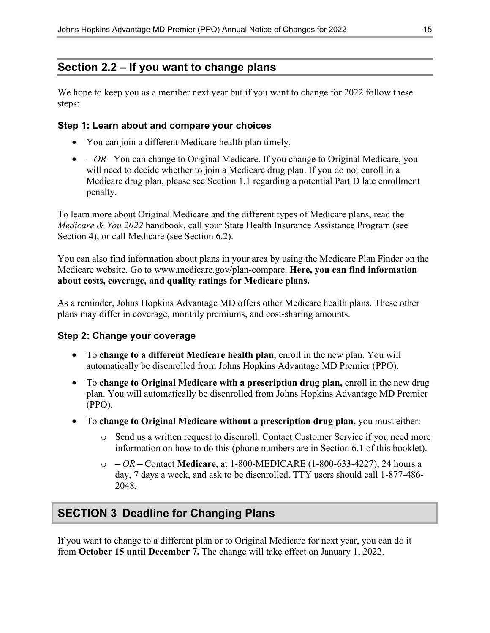### **Section 2.2 – If you want to change plans**

We hope to keep you as a member next year but if you want to change for 2022 follow these steps:

#### **Step 1: Learn about and compare your choices**

- You can join a different Medicare health plan timely,
- *OR–* You can change to Original Medicare. If you change to Original Medicare, you will need to decide whether to join a Medicare drug plan. If you do not enroll in a Medicare drug plan, please see Section 1.1 regarding a potential Part D late enrollment penalty.

To learn more about Original Medicare and the different types of Medicare plans, read the *Medicare & You 2022* handbook, call your State Health Insurance Assistance Program (see Section 4), or call Medicare (see Section 6.2).

You can also find information about plans in your area by using the Medicare Plan Finder on the Medicare website. Go to [www.medicare.gov/plan-compare.](http://www.medicare.gov/plan-compare) **Here, you can find information about costs, coverage, and quality ratings for Medicare plans.**

As a reminder, Johns Hopkins Advantage MD offers other Medicare health plans. These other plans may differ in coverage, monthly premiums, and cost-sharing amounts.

#### **Step 2: Change your coverage**

- To **change to a different Medicare health plan**, enroll in the new plan. You will automatically be disenrolled from Johns Hopkins Advantage MD Premier (PPO).
- To **change to Original Medicare with a prescription drug plan,** enroll in the new drug plan. You will automatically be disenrolled from Johns Hopkins Advantage MD Premier (PPO).
- To **change to Original Medicare without a prescription drug plan**, you must either:
	- o Send us a written request to disenroll. Contact Customer Service if you need more information on how to do this (phone numbers are in Section 6.1 of this booklet).
	- o  *OR –* Contact **Medicare**, at 1-800-MEDICARE (1-800-633-4227), 24 hours a day, 7 days a week, and ask to be disenrolled. TTY users should call 1-877-486- 2048.

### **SECTION 3 Deadline for Changing Plans**

If you want to change to a different plan or to Original Medicare for next year, you can do it from **October 15 until December 7.** The change will take effect on January 1, 2022.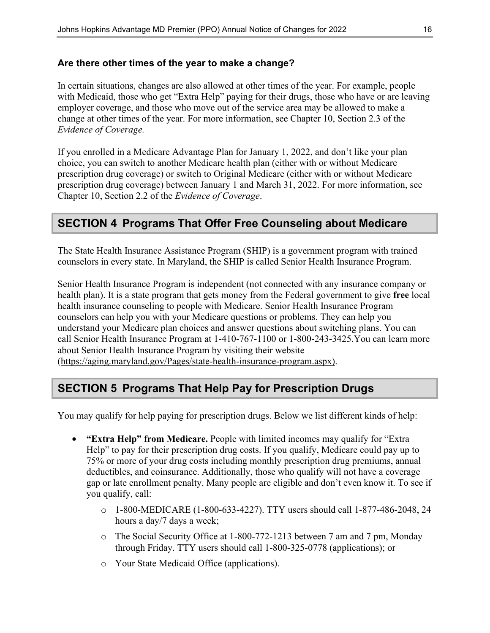#### **Are there other times of the year to make a change?**

In certain situations, changes are also allowed at other times of the year. For example, people with Medicaid, those who get "Extra Help" paying for their drugs, those who have or are leaving employer coverage, and those who move out of the service area may be allowed to make a change at other times of the year. For more information, see Chapter 10, Section 2.3 of the *Evidence of Coverage.* 

If you enrolled in a Medicare Advantage Plan for January 1, 2022, and don't like your plan choice, you can switch to another Medicare health plan (either with or without Medicare prescription drug coverage) or switch to Original Medicare (either with or without Medicare prescription drug coverage) between January 1 and March 31, 2022. For more information, see Chapter 10, Section 2.2 of the *Evidence of Coverage*.

### **SECTION 4 Programs That Offer Free Counseling about Medicare**

The State Health Insurance Assistance Program (SHIP) is a government program with trained counselors in every state. In Maryland, the SHIP is called Senior Health Insurance Program.

Senior Health Insurance Program is independent (not connected with any insurance company or health plan). It is a state program that gets money from the Federal government to give **free** local health insurance counseling to people with Medicare. Senior Health Insurance Program counselors can help you with your Medicare questions or problems. They can help you understand your Medicare plan choices and answer questions about switching plans. You can call Senior Health Insurance Program at 1-410-767-1100 or 1-800-243-3425.You can learn more about Senior Health Insurance Program by visiting their website [\(https://aging.maryland.gov/Pages/state-health-insurance-program.aspx\).](https://aging.maryland.gov/Pages/state-health-insurance-program.aspx))

### **SECTION 5 Programs That Help Pay for Prescription Drugs**

You may qualify for help paying for prescription drugs. Below we list different kinds of help:

- **"Extra Help" from Medicare.** People with limited incomes may qualify for "Extra Help" to pay for their prescription drug costs. If you qualify, Medicare could pay up to 75% or more of your drug costs including monthly prescription drug premiums, annual deductibles, and coinsurance. Additionally, those who qualify will not have a coverage gap or late enrollment penalty. Many people are eligible and don't even know it. To see if you qualify, call:
	- o 1-800-MEDICARE (1-800-633-4227). TTY users should call 1-877-486-2048, 24 hours a day/7 days a week;
	- o The Social Security Office at 1-800-772-1213 between 7 am and 7 pm, Monday through Friday. TTY users should call 1-800-325-0778 (applications); or
	- o Your State Medicaid Office (applications).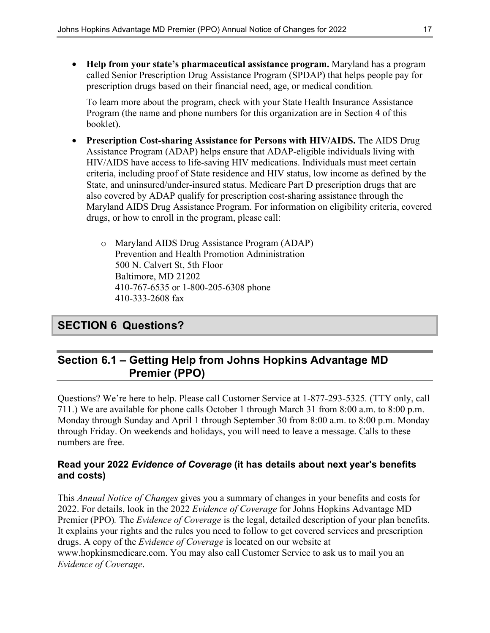• **Help from your state's pharmaceutical assistance program.** Maryland has a program called Senior Prescription Drug Assistance Program (SPDAP) that helps people pay for prescription drugs based on their financial need, age, or medical condition*.*

To learn more about the program, check with your State Health Insurance Assistance Program (the name and phone numbers for this organization are in Section 4 of this booklet).

- **Prescription Cost-sharing Assistance for Persons with HIV/AIDS.** The AIDS Drug Assistance Program (ADAP) helps ensure that ADAP-eligible individuals living with HIV/AIDS have access to life-saving HIV medications. Individuals must meet certain criteria, including proof of State residence and HIV status, low income as defined by the State, and uninsured/under-insured status. Medicare Part D prescription drugs that are also covered by ADAP qualify for prescription cost-sharing assistance through the Maryland AIDS Drug Assistance Program. For information on eligibility criteria, covered drugs, or how to enroll in the program, please call:
	- o Maryland AIDS Drug Assistance Program (ADAP) Prevention and Health Promotion Administration 500 N. Calvert St, 5th Floor Baltimore, MD 21202 410-767-6535 or 1-800-205-6308 phone 410-333-2608 fax

### **SECTION 6 Questions?**

### **Section 6.1 – Getting Help from Johns Hopkins Advantage MD Premier (PPO)**

Questions? We're here to help. Please call Customer Service at 1-877-293-5325*.* (TTY only, call 711.) We are available for phone calls October 1 through March 31 from 8:00 a.m. to 8:00 p.m. Monday through Sunday and April 1 through September 30 from 8:00 a.m. to 8:00 p.m. Monday through Friday. On weekends and holidays, you will need to leave a message. Calls to these numbers are free.

#### **Read your 2022** *Evidence of Coverage* **(it has details about next year's benefits and costs)**

This *Annual Notice of Changes* gives you a summary of changes in your benefits and costs for 2022. For details, look in the 2022 *Evidence of Coverage* for Johns Hopkins Advantage MD Premier (PPO)*.* The *Evidence of Coverage* is the legal, detailed description of your plan benefits. It explains your rights and the rules you need to follow to get covered services and prescription drugs. A copy of the *Evidence of Coverage* is located on our website at [www.hopkinsmedicare.com.](http://www.hopkinsmedicare.com) You may also call Customer Service to ask us to mail you an *Evidence of Coverage*.